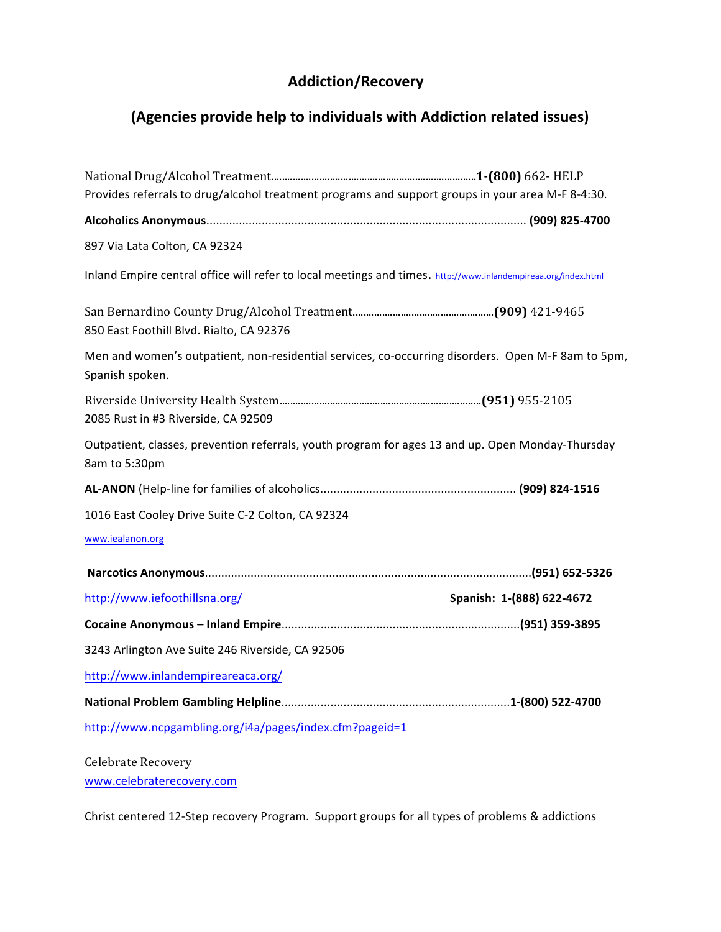## **Addiction/Recovery**

## **(Agencies provide help to individuals with Addiction related issues)**

| Provides referrals to drug/alcohol treatment programs and support groups in your area M-F 8-4:30.                     |
|-----------------------------------------------------------------------------------------------------------------------|
|                                                                                                                       |
| 897 Via Lata Colton, CA 92324                                                                                         |
| Inland Empire central office will refer to local meetings and times. http://www.inlandempireaa.org/index.html         |
| 850 East Foothill Blvd. Rialto, CA 92376                                                                              |
| Men and women's outpatient, non-residential services, co-occurring disorders. Open M-F 8am to 5pm,<br>Spanish spoken. |
| 2085 Rust in #3 Riverside, CA 92509                                                                                   |
| Outpatient, classes, prevention referrals, youth program for ages 13 and up. Open Monday-Thursday<br>8am to 5:30pm    |
|                                                                                                                       |
| 1016 East Cooley Drive Suite C-2 Colton, CA 92324                                                                     |
| www.iealanon.org                                                                                                      |
|                                                                                                                       |
| http://www.iefoothillsna.org/<br>Spanish: 1-(888) 622-4672                                                            |
|                                                                                                                       |
| 3243 Arlington Ave Suite 246 Riverside, CA 92506                                                                      |
| http://www.inlandempireareaca.org/                                                                                    |
|                                                                                                                       |
| http://www.ncpgambling.org/i4a/pages/index.cfm?pageid=1                                                               |

Celebrate Recovery www.celebraterecovery.com

Christ centered 12-Step recovery Program. Support groups for all types of problems & addictions